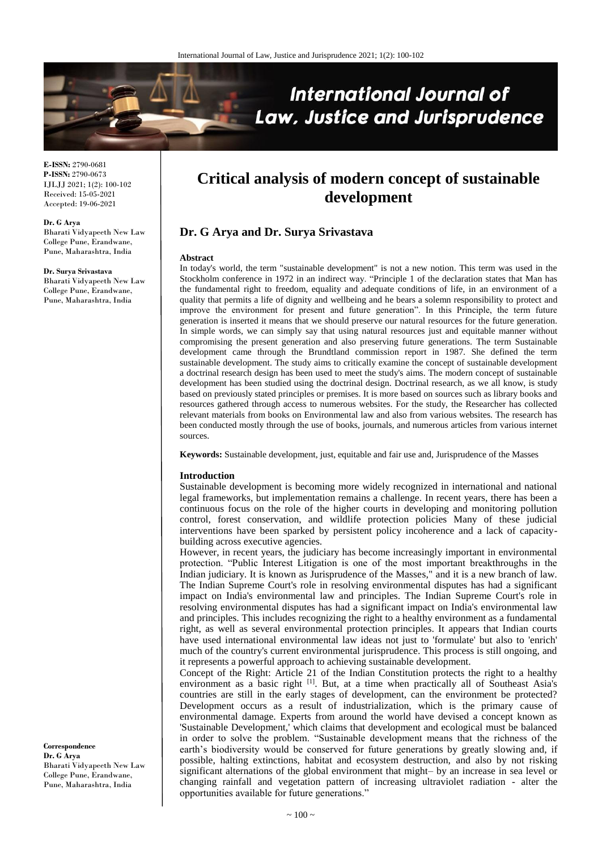

**E-ISSN:** 2790-0681 **P-ISSN:** 2790-0673 IJLJJ 2021; 1(2): 100-102 Received: 15-05-2021 Accepted: 19-06-2021

**Dr. G Arya**

Bharati Vidyapeeth New Law College Pune, Erandwane, Pune, Maharashtra, India

**Dr. Surya Srivastava** Bharati Vidyapeeth New Law College Pune, Erandwane, Pune, Maharashtra, India

**Critical analysis of modern concept of sustainable development**

# **Dr. G Arya and Dr. Surya Srivastava**

#### **Abstract**

In today's world, the term "sustainable development" is not a new notion. This term was used in the Stockholm conference in 1972 in an indirect way. "Principle 1 of the declaration states that Man has the fundamental right to freedom, equality and adequate conditions of life, in an environment of a quality that permits a life of dignity and wellbeing and he bears a solemn responsibility to protect and improve the environment for present and future generation". In this Principle, the term future generation is inserted it means that we should preserve our natural resources for the future generation. In simple words, we can simply say that using natural resources just and equitable manner without compromising the present generation and also preserving future generations. The term Sustainable development came through the Brundtland commission report in 1987. She defined the term sustainable development. The study aims to critically examine the concept of sustainable development a doctrinal research design has been used to meet the study's aims. The modern concept of sustainable development has been studied using the doctrinal design. Doctrinal research, as we all know, is study based on previously stated principles or premises. It is more based on sources such as library books and resources gathered through access to numerous websites. For the study, the Researcher has collected relevant materials from books on Environmental law and also from various websites. The research has been conducted mostly through the use of books, journals, and numerous articles from various internet sources.

**Keywords:** Sustainable development, just, equitable and fair use and, Jurisprudence of the Masses

#### **Introduction**

Sustainable development is becoming more widely recognized in international and national legal frameworks, but implementation remains a challenge. In recent years, there has been a continuous focus on the role of the higher courts in developing and monitoring pollution control, forest conservation, and wildlife protection policies Many of these judicial interventions have been sparked by persistent policy incoherence and a lack of capacitybuilding across executive agencies.

However, in recent years, the judiciary has become increasingly important in environmental protection. "Public Interest Litigation is one of the most important breakthroughs in the Indian judiciary. It is known as Jurisprudence of the Masses," and it is a new branch of law. The Indian Supreme Court's role in resolving environmental disputes has had a significant impact on India's environmental law and principles. The Indian Supreme Court's role in resolving environmental disputes has had a significant impact on India's environmental law and principles. This includes recognizing the right to a healthy environment as a fundamental right, as well as several environmental protection principles. It appears that Indian courts have used international environmental law ideas not just to 'formulate' but also to 'enrich' much of the country's current environmental jurisprudence. This process is still ongoing, and it represents a powerful approach to achieving sustainable development.

Concept of the Right: Article 21 of the Indian Constitution protects the right to a healthy environment as a basic right <sup>[1]</sup>. But, at a time when practically all of Southeast Asia's countries are still in the early stages of development, can the environment be protected? Development occurs as a result of industrialization, which is the primary cause of environmental damage. Experts from around the world have devised a concept known as 'Sustainable Development,' which claims that development and ecological must be balanced in order to solve the problem. "Sustainable development means that the richness of the earth's biodiversity would be conserved for future generations by greatly slowing and, if possible, halting extinctions, habitat and ecosystem destruction, and also by not risking significant alternations of the global environment that might– by an increase in sea level or changing rainfall and vegetation pattern of increasing ultraviolet radiation - alter the opportunities available for future generations."

**Correspondence Dr. G Arya** Bharati Vidyapeeth New Law College Pune, Erandwane, Pune, Maharashtra, India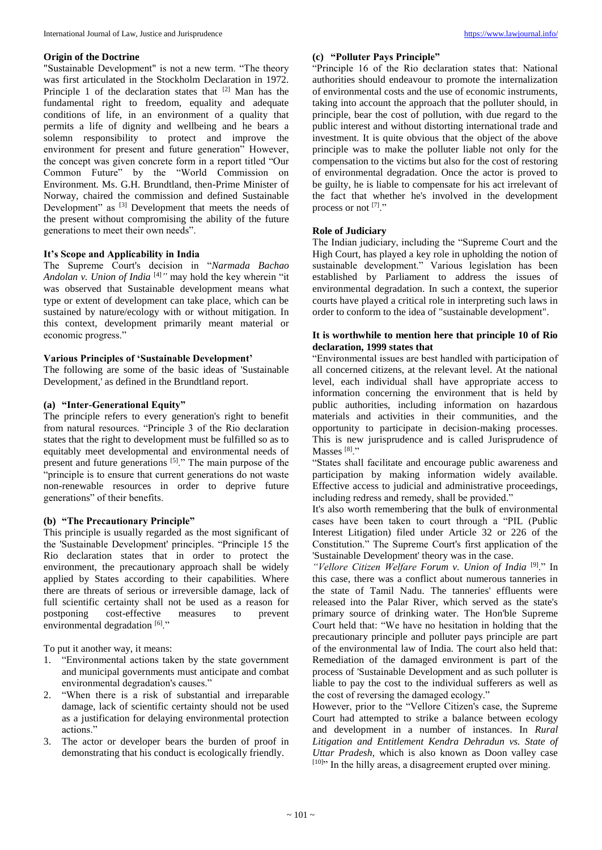### **Origin of the Doctrine**

"Sustainable Development" is not a new term. "The theory was first articulated in the Stockholm Declaration in 1972. Principle 1 of the declaration states that [2] Man has the fundamental right to freedom, equality and adequate conditions of life, in an environment of a quality that permits a life of dignity and wellbeing and he bears a solemn responsibility to protect and improve the environment for present and future generation" However, the concept was given concrete form in a report titled "Our Common Future" by the "World Commission on Environment. Ms. G.H. Brundtland, then-Prime Minister of Norway, chaired the commission and defined Sustainable Development" as <sup>[3]</sup> Development that meets the needs of the present without compromising the ability of the future generations to meet their own needs".

### **It's Scope and Applicability in India**

The Supreme Court's decision in "*Narmada Bachao Andolan v. Union of India* [4]*"* may hold the key wherein "it was observed that Sustainable development means what type or extent of development can take place, which can be sustained by nature/ecology with or without mitigation. In this context, development primarily meant material or economic progress."

# **Various Principles of 'Sustainable Development'**

The following are some of the basic ideas of 'Sustainable Development,' as defined in the Brundtland report.

# **(a) "Inter-Generational Equity"**

The principle refers to every generation's right to benefit from natural resources. "Principle 3 of the Rio declaration states that the right to development must be fulfilled so as to equitably meet developmental and environmental needs of present and future generations <sup>[5]</sup>." The main purpose of the "principle is to ensure that current generations do not waste non-renewable resources in order to deprive future generations" of their benefits.

### **(b) "The Precautionary Principle"**

This principle is usually regarded as the most significant of the 'Sustainable Development' principles. "Principle 15 the Rio declaration states that in order to protect the environment, the precautionary approach shall be widely applied by States according to their capabilities. Where there are threats of serious or irreversible damage, lack of full scientific certainty shall not be used as a reason for postponing cost-effective measures to prevent environmental degradation [6]."

To put it another way, it means:

- 1. "Environmental actions taken by the state government and municipal governments must anticipate and combat environmental degradation's causes."
- 2. "When there is a risk of substantial and irreparable damage, lack of scientific certainty should not be used as a justification for delaying environmental protection actions."
- 3. The actor or developer bears the burden of proof in demonstrating that his conduct is ecologically friendly.

# **(c) "Polluter Pays Principle"**

"Principle 16 of the Rio declaration states that: National authorities should endeavour to promote the internalization of environmental costs and the use of economic instruments, taking into account the approach that the polluter should, in principle, bear the cost of pollution, with due regard to the public interest and without distorting international trade and investment. It is quite obvious that the object of the above principle was to make the polluter liable not only for the compensation to the victims but also for the cost of restoring of environmental degradation. Once the actor is proved to be guilty, he is liable to compensate for his act irrelevant of the fact that whether he's involved in the development process or not [7]."

#### **Role of Judiciary**

The Indian judiciary, including the "Supreme Court and the High Court, has played a key role in upholding the notion of sustainable development." Various legislation has been established by Parliament to address the issues of environmental degradation. In such a context, the superior courts have played a critical role in interpreting such laws in order to conform to the idea of "sustainable development".

## **It is worthwhile to mention here that principle 10 of Rio declaration, 1999 states that**

"Environmental issues are best handled with participation of all concerned citizens, at the relevant level. At the national level, each individual shall have appropriate access to information concerning the environment that is held by public authorities, including information on hazardous materials and activities in their communities, and the opportunity to participate in decision-making processes. This is new jurisprudence and is called Jurisprudence of Masses<sup>[8]</sup>."

"States shall facilitate and encourage public awareness and participation by making information widely available. Effective access to judicial and administrative proceedings, including redress and remedy, shall be provided."

It's also worth remembering that the bulk of environmental cases have been taken to court through a "PIL (Public Interest Litigation) filed under Article 32 or 226 of the Constitution." The Supreme Court's first application of the 'Sustainable Development' theory was in the case.

*"Vellore Citizen Welfare Forum v. Union of India* [9] ." In this case, there was a conflict about numerous tanneries in the state of Tamil Nadu. The tanneries' effluents were released into the Palar River, which served as the state's primary source of drinking water. The Hon'ble Supreme Court held that: "We have no hesitation in holding that the precautionary principle and polluter pays principle are part of the environmental law of India. The court also held that: Remediation of the damaged environment is part of the process of 'Sustainable Development and as such polluter is liable to pay the cost to the individual sufferers as well as the cost of reversing the damaged ecology."

However, prior to the "Vellore Citizen's case, the Supreme Court had attempted to strike a balance between ecology and development in a number of instances. In *Rural Litigation and Entitlement Kendra Dehradun vs. State of Uttar Pradesh,* which is also known as Doon valley case [10]" In the hilly areas, a disagreement erupted over mining.